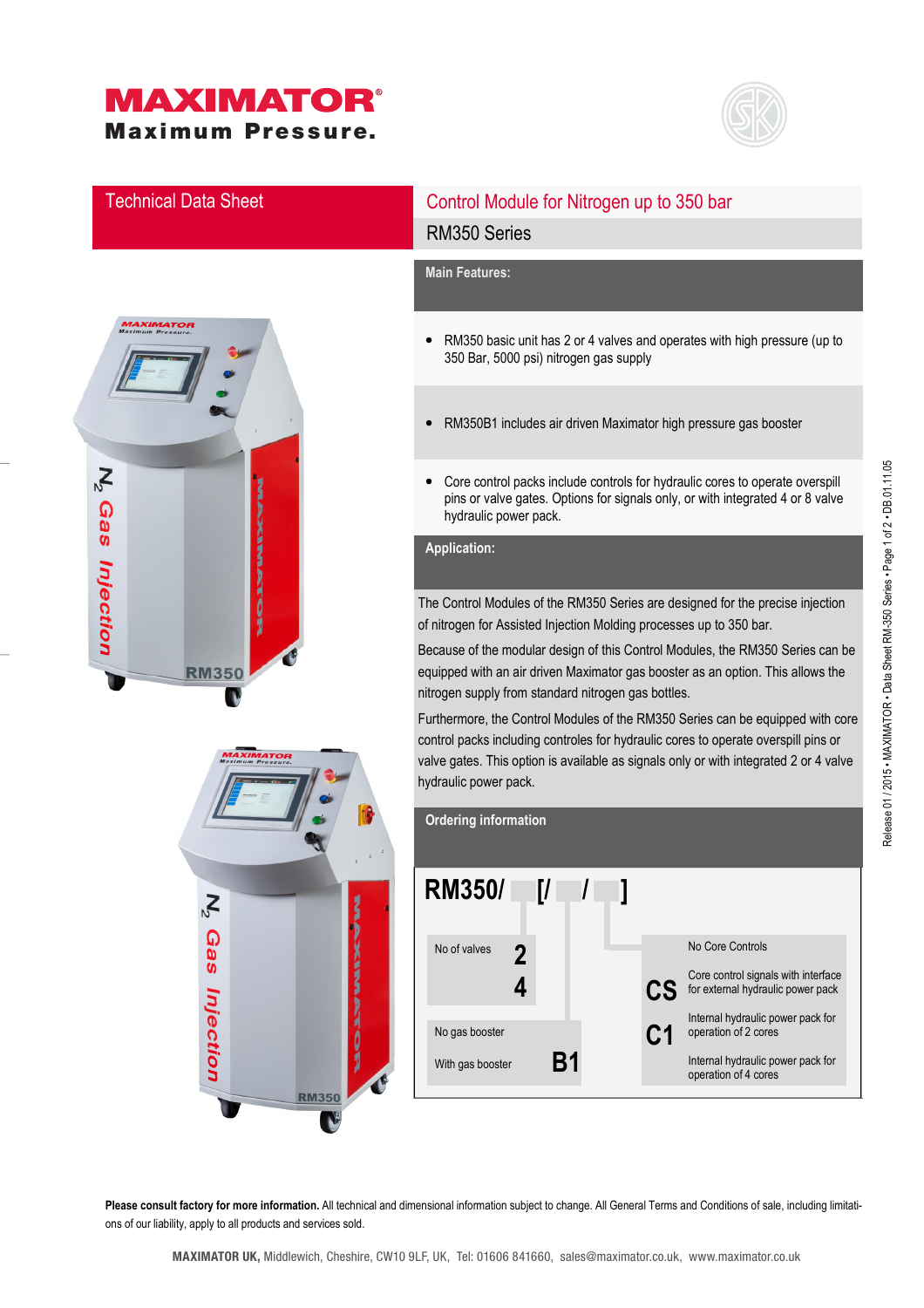# **MAXIMATOR®** Maximum Pressure.







## Technical Data Sheet Control Module for Nitrogen up to 350 bar RM350 Series

### **Main Features:**

- RM350 basic unit has 2 or 4 valves and operates with high pressure (up to 350 Bar, 5000 psi) nitrogen gas supply
- RM350B1 includes air driven Maximator high pressure gas booster
- Core control packs include controls for hydraulic cores to operate overspill pins or valve gates. Options for signals only, or with integrated 4 or 8 valve hydraulic power pack.

**Application:** 

The Control Modules of the RM350 Series are designed for the precise injection of nitrogen for Assisted Injection Molding processes up to 350 bar.

Because of the modular design of this Control Modules, the RM350 Series can be equipped with an air driven Maximator gas booster as an option. This allows the nitrogen supply from standard nitrogen gas bottles.

Furthermore, the Control Modules of the RM350 Series can be equipped with core control packs including controles for hydraulic cores to operate overspill pins or valve gates. This option is available as signals only or with integrated 2 or 4 valve hydraulic power pack.



Please consult factory for more information. All technical and dimensional information subject to change. All General Terms and Conditions of sale, including limitations of our liability, apply to all products and services sold.